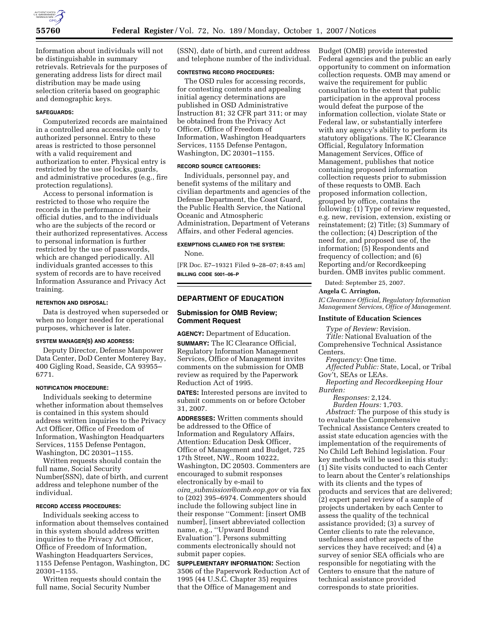

Information about individuals will not be distinguishable in summary retrievals. Retrievals for the purposes of generating address lists for direct mail distribution may be made using selection criteria based on geographic and demographic keys.

### **SAFEGUARDS:**

Computerized records are maintained in a controlled area accessible only to authorized personnel. Entry to these areas is restricted to those personnel with a valid requirement and authorization to enter. Physical entry is restricted by the use of locks, guards, and administrative procedures (e.g., fire protection regulations).

Access to personal information is restricted to those who require the records in the performance of their official duties, and to the individuals who are the subjects of the record or their authorized representatives. Access to personal information is further restricted by the use of passwords, which are changed periodically. All individuals granted accesses to this system of records are to have received Information Assurance and Privacy Act training.

#### **RETENTION AND DISPOSAL:**

Data is destroyed when superseded or when no longer needed for operational purposes, whichever is later.

## **SYSTEM MANAGER(S) AND ADDRESS:**

Deputy Director, Defense Manpower Data Center, DoD Center Monterey Bay, 400 Gigling Road, Seaside, CA 93955– 6771.

### **NOTIFICATION PROCEDURE:**

Individuals seeking to determine whether information about themselves is contained in this system should address written inquiries to the Privacy Act Officer, Office of Freedom of Information, Washington Headquarters Services, 1155 Defense Pentagon, Washington, DC 20301–1155.

Written requests should contain the full name, Social Security Number(SSN), date of birth, and current address and telephone number of the individual.

#### **RECORD ACCESS PROCEDURES:**

Individuals seeking access to information about themselves contained in this system should address written inquiries to the Privacy Act Officer, Office of Freedom of Information, Washington Headquarters Services, 1155 Defense Pentagon, Washington, DC 20301–1155.

Written requests should contain the full name, Social Security Number

(SSN), date of birth, and current address and telephone number of the individual.

### **CONTESTING RECORD PROCEDURES:**

The OSD rules for accessing records, for contesting contents and appealing initial agency determinations are published in OSD Administrative Instruction 81; 32 CFR part 311; or may be obtained from the Privacy Act Officer, Office of Freedom of Information, Washington Headquarters Services, 1155 Defense Pentagon, Washington, DC 20301–1155.

## **RECORD SOURCE CATEGORIES:**

Individuals, personnel pay, and benefit systems of the military and civilian departments and agencies of the Defense Department, the Coast Guard, the Public Health Service, the National Oceanic and Atmospheric Administration, Department of Veterans Affairs, and other Federal agencies.

## **EXEMPTIONS CLAIMED FOR THE SYSTEM:**

None.

[FR Doc. E7–19321 Filed 9–28–07; 8:45 am] **BILLING CODE 5001–06–P** 

## **DEPARTMENT OF EDUCATION**

## **Submission for OMB Review; Comment Request**

**AGENCY:** Department of Education. **SUMMARY:** The IC Clearance Official, Regulatory Information Management Services, Office of Management invites comments on the submission for OMB review as required by the Paperwork Reduction Act of 1995.

**DATES:** Interested persons are invited to submit comments on or before October 31, 2007.

**ADDRESSES:** Written comments should be addressed to the Office of Information and Regulatory Affairs, Attention: Education Desk Officer, Office of Management and Budget, 725 17th Street, NW., Room 10222, Washington, DC 20503. Commenters are encouraged to submit responses electronically by e-mail to *oira*\_*submission@omb.eop.gov* or via fax to (202) 395–6974. Commenters should include the following subject line in their response ''Comment: [insert OMB number], [insert abbreviated collection name, e.g., ''Upward Bound Evaluation'']. Persons submitting comments electronically should not submit paper copies.

**SUPPLEMENTARY INFORMATION:** Section 3506 of the Paperwork Reduction Act of 1995 (44 U.S.C. Chapter 35) requires that the Office of Management and

Budget (OMB) provide interested Federal agencies and the public an early opportunity to comment on information collection requests. OMB may amend or waive the requirement for public consultation to the extent that public participation in the approval process would defeat the purpose of the information collection, violate State or Federal law, or substantially interfere with any agency's ability to perform its statutory obligations. The IC Clearance Official, Regulatory Information Management Services, Office of Management, publishes that notice containing proposed information collection requests prior to submission of these requests to OMB. Each proposed information collection, grouped by office, contains the following: (1) Type of review requested, e.g. new, revision, extension, existing or reinstatement; (2) Title; (3) Summary of the collection; (4) Description of the need for, and proposed use of, the information; (5) Respondents and frequency of collection; and (6) Reporting and/or Recordkeeping burden. OMB invites public comment.

Dated: September 25, 2007.

## **Angela C. Arrington,**

*IC Clearance Official, Regulatory Information Management Services, Office of Management.* 

#### **Institute of Education Sciences**

*Type of Review:* Revision.

*Title:* National Evaluation of the Comprehensive Technical Assistance Centers.

*Frequency:* One time.

*Affected Public:* State, Local, or Tribal Gov't, SEAs or LEAs.

*Reporting and Recordkeeping Hour Burden:* 

*Responses:* 2,124.

*Burden Hours:* 1,703.

*Abstract:* The purpose of this study is to evaluate the Comprehensive Technical Assistance Centers created to assist state education agencies with the implementation of the requirements of No Child Left Behind legislation. Four key methods will be used in this study: (1) Site visits conducted to each Center to learn about the Center's relationships with its clients and the types of products and services that are delivered; (2) expert panel review of a sample of projects undertaken by each Center to assess the quality of the technical assistance provided; (3) a survey of Center clients to rate the relevance, usefulness and other aspects of the services they have received; and (4) a survey of senior SEA officials who are responsible for negotiating with the Centers to ensure that the nature of technical assistance provided corresponds to state priorities.